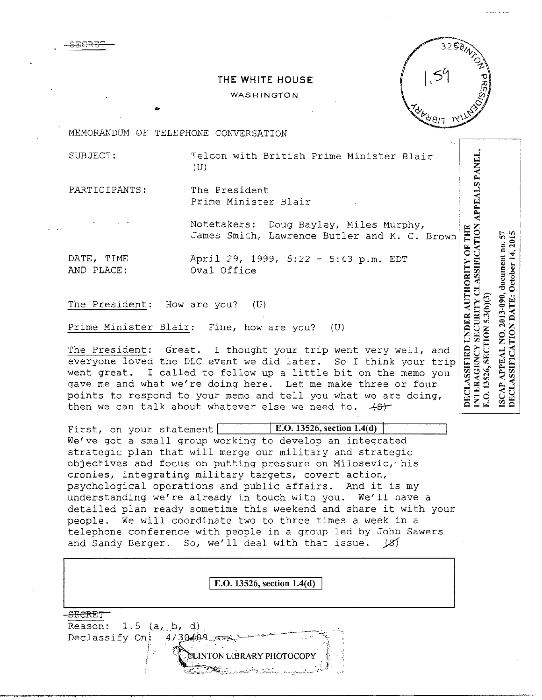## **THE WHITE HOUSE**

## **WASHINGTON**



MEMORANDUM OF TELEPHONE CONVERSATION

...

SUBJECT: Telcon with British Prime Minister Blair  $(U)$ 

PARTICIPANTS: The President Prime Minister Blair

> Notetakers: Doug Bayley, Miles Murphy, James Smith, Lawrence Butler and K. C. Brown

SECRE'F

DATE, TIME April 29, 1999, 5:22 - 5:43 p.m. EDT Oval Office

The President: How are you? (U)

Prime Minister Blair: Fine, how are you? (U)

The President: Great. I thought your trip went very well, and everyone loved the DLC event we did later. So I think your trip went great. I called to follow up a little bit on the memo you gave me and what we're doing here. Let me make three or four points to respond to your memo and tell you what we are doing, then we can talk about whatever else we need to.  $+8r$ 

First, on your statement **E.O.** 13526, section 1.4(d) We've got a small group working to develop an integrated strategic plan that will merge our military and strategic objectives and focus on putting pressure on Milosevic, his cronies, integrating military targets, covert action, psychological operations and public affairs. And it is my understanding we're already in touch with you. We'll have a detailed plan ready sometime this weekend and share it with your people. We will coordinate two to three times a week in a telephone conference with people in a group led by John Sawers and Sandy Berger. So, we'll deal with that issue.  $|Z\rangle$ 

| E.O. 13526, section 1.4(d)                                                                                                                                                                                                                                                                                                             |  |
|----------------------------------------------------------------------------------------------------------------------------------------------------------------------------------------------------------------------------------------------------------------------------------------------------------------------------------------|--|
| Reason: $1.5$ $(a, b, d)$<br>Declassify On!<br>4/30/99<br>CLINTON LIBRARY PHOTOCOPY<br><u> Programmento de la programmento de la programma de la programma de la programma de la programma de la program</u><br>La programma de la programma de la programma de la programma de la programma de la programma de la programma<br>وللمرد |  |

ISCAP APPEAL NO. 2013-090, document no. 57 DECLASSIFICATION DATE: October 14, 2015 E.O. 13526, SECTION 5.3(b)(3)

DECLASSIFIED UNDER AUTHORITY OF THE NAMES PANEL, NTERAGENCY SECURITY CLASSIFICATION APPEALS PANEL,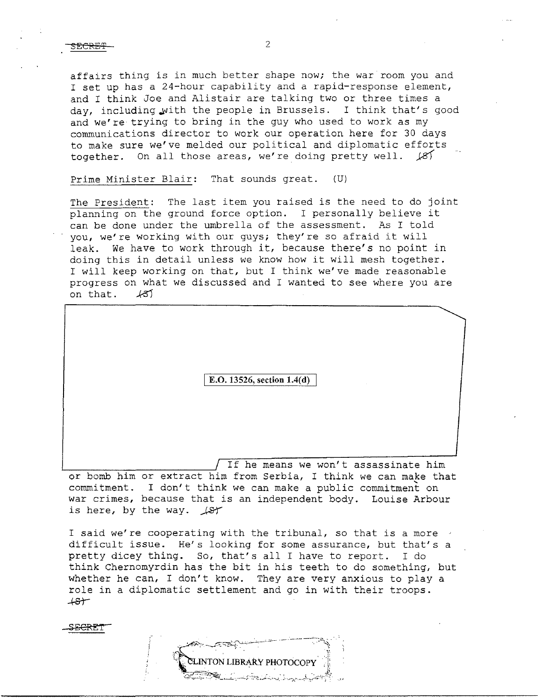affairs thing is in much better shape now; the war room you and I set up has a 24-hour capability and a rapid-response element, and I think Joe and Alistair are talking two or three times a day, including with the people in Brussels. I think that's good and we're trying to bring in the guy who used to work as my communications director to work our operation here for 30 days to make sure we've melded our political and diplomatic efforts together. On all those areas, we're doing pretty well.  $\cancel{81}$ 

Prime Minister Blair: That sounds great. (U)

The President: The last item you raised is the need to do joint planning on the ground force option. I personally believe it can be done under the umbrella of the assessment. As I told you, we're working with our guys; they're so afraid it will leak. We have to work through it, because there's no point in doing this in detail unless we know how it will mesh together. I will keep working on that, but I think we've made reasonable progress on what we discussed and I wanted to see where you are on that. *.k5J* 

E.O. 13526, section 1.4(d)

If he means we won't assassinate him or bomb him or extract him from Serbia, I think we can make that commitment. I don't think we can make a public commitment on war crimes, because that *is* an independent body. Louise Arbour is here, by the way.  $\sqrt{ST}$ 

I said we're cooperating with the tribunal, so that is a more difficult issue. He's looking for some assurance, but that's a pretty dicey thing. So, that's all I have to report. I do think Chernomyrdin has the bit in his teeth to do something, but whether he can, I don't know. They are very anxious to play a role in a diplomatic settlement and go in with their troops.<br>  $($ S $)$ 

SECRE'r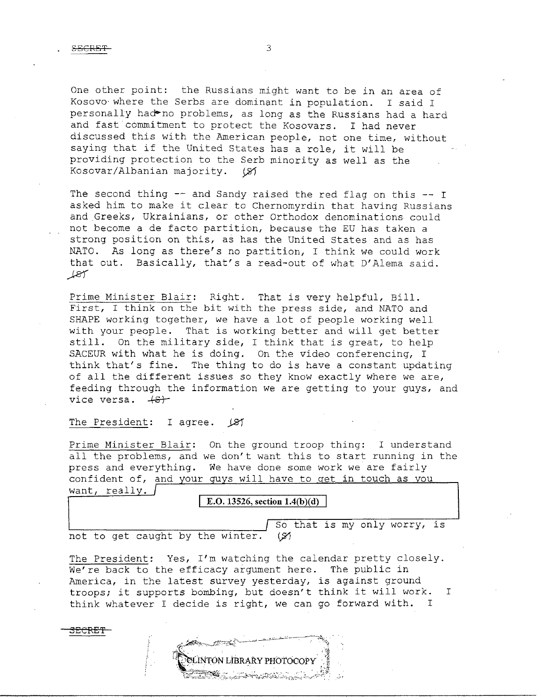One other point: the Russians might want to be in an area of Kosovo where the Serbs are dominant in population. I said I personally had no problems, as long as the Russians had a hard and fast commitment to protect the Kosovars. I had never discussed this with the American people, not one time, without saying that if the United States has a role, it will be providing protection to the Serb minority as well as the Kosovar/Albanian majority. (8)

The second thing  $-$  and Sandy raised the red flag on this  $-$ - I asked him to make it clear to Chernomyrdin that having Russians and Greeks, Ukrainians, or other Orthodox denominations could not become a de facto partition, because the EU has taken a strong position on this, as has the United States and as has NATO. As long as there's no partition, I think we could work that out. Basically, that's a read-out of what D'Alema said.  $187$ 

Prime Minister Blair: Right. That is very helpful, Bill. First, I think on the bit with the press side, and NATO and SHAPE working together, we have a lot of people working well with your people. That is working better and will get better still. On the military side, I think that is great, to help SACEUR with what he is doing. On the video conferencing, I think that's fine. The thing to do is have a constant updating of all the different issues so they know exactly where we are, feeding through the information we are getting to your guys, and vice versa.  $\leftarrow$ 

The President: I agree.  $\cancel{\cancel{\beta}}$ 

Prime Minister Blair: On the ground troop thing: I understand all the problems, and we don't want this to start running in the press and everything. We have done some work we are fairly confident of, and your guys will have to get in touch as you want, really.

## E.O. 13526, section 1.4(b)(d)

not to get caught by the winter.  $(y)$ 

3ECRE'f

So that is my only worry, is

The President: Yes, I'm watching the calendar pretty closely. We're back to the efficacy argument here. The public in America, in the latest survey yesterday, is against ground troops; it supports bombing, but doesn't think it will work. think whatever I decide is right, we can go forward with. I I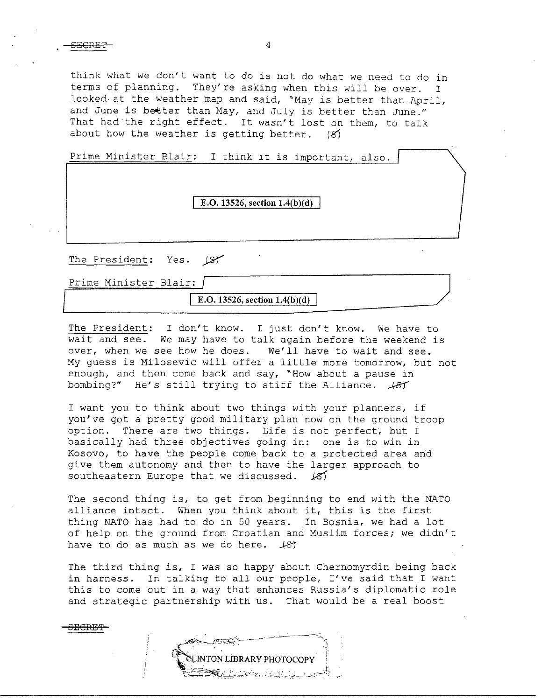$S_{\text{ECREF}}$  4

**SECRE'f** 

I think what we don't want to do is not do what we need to do in terms of planning. They're asking when this will be over. looked at the weather map and said, "May is better than April, and June is better than May, and July is better than June." That had the right effect. It wasn't lost on them, to talk about how the weather is getting better.  $(8)$ 

Prime Minister Blair: I think it is important, also.

|                         | E.O. 13526, section $1.4(b)(d)$ |  |
|-------------------------|---------------------------------|--|
| The President: Yes. (SY |                                 |  |
| Prime Minister Blair:   |                                 |  |

**E.O.** 13526, section 1.4(b)(d)

The President: I don't know. I just don't know. We have to wait and see. We may have to talk again before the weekend is over, when we see how he does. We'll have to wait and see. My guess is Milosevic will offer a little more tomorrow, but not enough, and then come back and say, "How about a pause in bombing?" He's still trying to stiff the Alliance.  $\sqrt{ST}$ 

I want you to think about two things with your planners, if you've got a pretty good military plan now on the ground troop option. There are two things. Life is not perfect, but I basically had three objectives going in: one is to win in Kosovo, to have the people come back to a protected area and give them autonomy and then to have the larger approach to southeastern Europe that we discussed.  $\angle 8$ 

The second thing is, to get from beginning to end with the NATO alliance intact. When you think about it, this is the first thing NATO has had to do in 50 years. In Bosnia, we had a lot of help on the ground from Croatian and Muslim forces; we didn't have to do as much as we do here. 481

The third thing is, I was so happy about Chernomyrdin being back in harness. In talking to all our people, I've said that I want this to come out in a way that enhances Russia's diplomatic role and strategic partnership with us. That would be a real boost

**CLINTON LIBRARY PHOTOCOPY**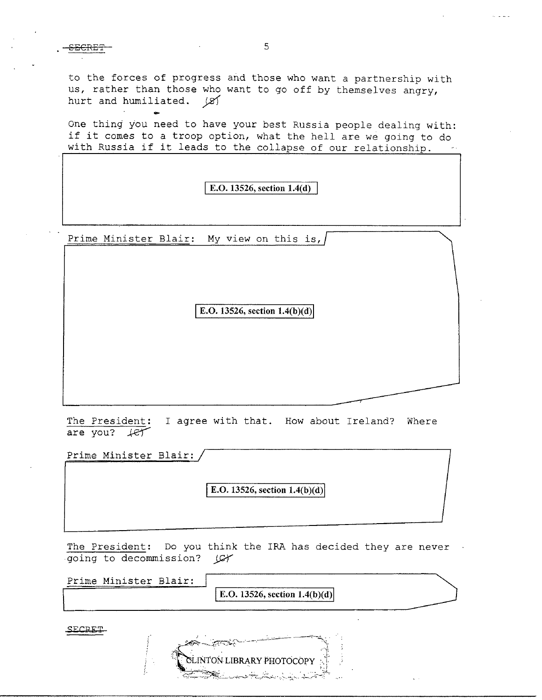to the forces of progress and those who want a partnership with us, rather than those who want to go off by themselves angry, hurt and humiliated.  $\cancel{\mathcal{Z}}$ 

One thing you need to have your best Russia people dealing with: if it comes to a troop option, what the hell are we going to do with Russia if it leads to the collapse of our relationship.

I E.O. **13526, section 1.4(d)** 

Prime Minister Blair: My view on this is,

....

E.O.  $13526$ , section  $1.4(b)(d)$ 

The President: I agree with that. How about Ireland? Where are you?  $Her$ 

Prime Minister Blair:

**E.O. 13526, section 1.4(b)(d)** 

The President: Do you think the IRA has decided they are never going to decommission? *JWY* 

| Prime Minister Blair: |                                    |  |
|-----------------------|------------------------------------|--|
|                       | $  E.O. 13526$ , section 1.4(b)(d) |  |

ON LIBRARY

SECRET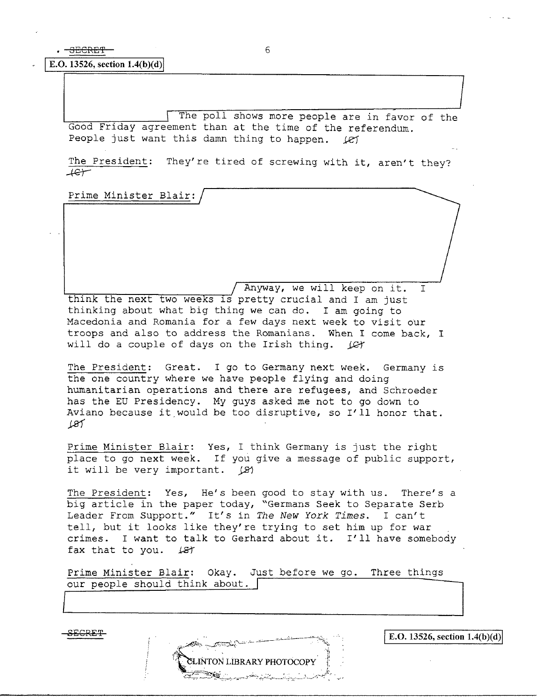**I E.O.** 13526, section 1.4(b)(d)

The poll shows more people are in favor of the Good Friday agreement than at the time of the referendum. People just want this damn thing to happen. *Ley* 

The President: They're tired of screwing with it, aren't they?  $7.4$ 

Prime Minister Blair:

Anyway, we will keep on it. I think the next two weeks is pretty crucial and I am just thinking about what big thing we can do. I am going to Macedonia and Romania for a few days next week to visit our troops and also to address the Romanians. When I come back, I will do a couple of days on the Irish thing. *jet* 

The President: Great. I go to Germany next week. Germany is the one country where we have people flying and doing humanitarian operations and there are refugees, and Schroeder has the EU Presidency. My guys asked me not to go down to Aviano because it would be too disruptive, so I'll honor that.  $187$ 

Prime Minister Blair: Yes, I think Germany *is* just the right place to go next week. If you give a message of public support, it will be very important.  $\beta$ 

The President: Yes, He's been good to stay with us. There's a big article in the paper today, "Germans Seek to Separate Serb Leader From Support." It's in The New York Times. I can't tell, but it looks like they're trying to set him up for war crimes. I want to talk to Gerhard about it. I'll have somebody fax that to you. *k21* 

Prime Minister Blair: Okay. Just before we go. Three things our people should think about.



I

I